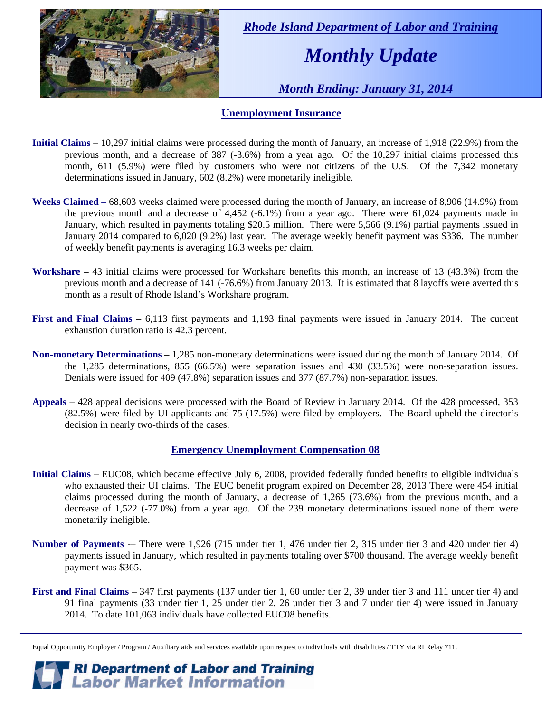

 *Rhode Island Department of Labor and Training* 

# *Monthly Update*

 *Month Ending: January 31, 2014* 

#### **Unemployment Insurance**

- **Initial Claims** 10,297 initial claims were processed during the month of January, an increase of 1,918 (22.9%) from the previous month, and a decrease of 387 (-3.6%) from a year ago. Of the 10,297 initial claims processed this month, 611 (5.9%) were filed by customers who were not citizens of the U.S. Of the 7,342 monetary determinations issued in January, 602 (8.2%) were monetarily ineligible.
- **Weeks Claimed** 68,603 weeks claimed were processed during the month of January, an increase of 8,906 (14.9%) from the previous month and a decrease of 4,452 (-6.1%) from a year ago. There were 61,024 payments made in January, which resulted in payments totaling \$20.5 million. There were 5,566 (9.1%) partial payments issued in January 2014 compared to 6,020 (9.2%) last year. The average weekly benefit payment was \$336. The number of weekly benefit payments is averaging 16.3 weeks per claim.
- **Workshare –** 43 initial claims were processed for Workshare benefits this month, an increase of 13 (43.3%) from the previous month and a decrease of 141 (-76.6%) from January 2013. It is estimated that 8 layoffs were averted this month as a result of Rhode Island's Workshare program.
- **First and Final Claims –** 6,113 first payments and 1,193 final payments were issued in January 2014. The current exhaustion duration ratio is 42.3 percent.
- **Non-monetary Determinations –** 1,285 non-monetary determinations were issued during the month of January 2014. Of the 1,285 determinations, 855 (66.5%) were separation issues and 430 (33.5%) were non-separation issues. Denials were issued for 409 (47.8%) separation issues and 377 (87.7%) non-separation issues.
- **Appeals** 428 appeal decisions were processed with the Board of Review in January 2014. Of the 428 processed, 353 (82.5%) were filed by UI applicants and 75 (17.5%) were filed by employers. The Board upheld the director's decision in nearly two-thirds of the cases.

#### **Emergency Unemployment Compensation 08**

- **Initial Claims**  EUC08, which became effective July 6, 2008, provided federally funded benefits to eligible individuals who exhausted their UI claims. The EUC benefit program expired on December 28, 2013 There were 454 initial claims processed during the month of January, a decrease of 1,265 (73.6%) from the previous month, and a decrease of 1,522 (-77.0%) from a year ago. Of the 239 monetary determinations issued none of them were monetarily ineligible.
- **Number of Payments** –– There were 1,926 (715 under tier 1, 476 under tier 2, 315 under tier 3 and 420 under tier 4) payments issued in January, which resulted in payments totaling over \$700 thousand. The average weekly benefit payment was \$365.
- **First and Final Claims**  347 first payments (137 under tier 1, 60 under tier 2, 39 under tier 3 and 111 under tier 4) and 91 final payments (33 under tier 1, 25 under tier 2, 26 under tier 3 and 7 under tier 4) were issued in January 2014. To date 101,063 individuals have collected EUC08 benefits.

Equal Opportunity Employer / Program / Auxiliary aids and services available upon request to individuals with disabilities / TTY via RI Relay 711.